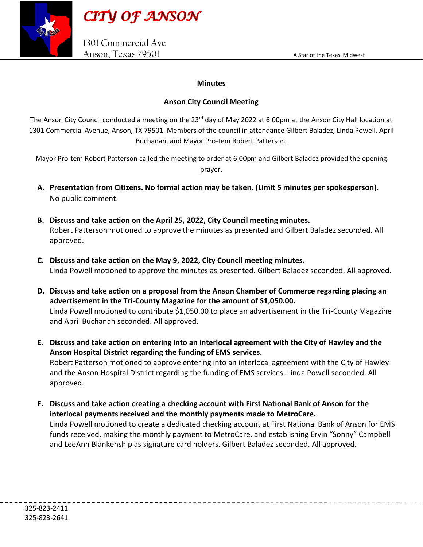



## **Minutes**

## **Anson City Council Meeting**

The Anson City Council conducted a meeting on the 23<sup>rd</sup> day of May 2022 at 6:00pm at the Anson City Hall location at 1301 Commercial Avenue, Anson, TX 79501. Members of the council in attendance Gilbert Baladez, Linda Powell, April Buchanan, and Mayor Pro-tem Robert Patterson.

Mayor Pro-tem Robert Patterson called the meeting to order at 6:00pm and Gilbert Baladez provided the opening prayer.

- **A. Presentation from Citizens. No formal action may be taken. (Limit 5 minutes per spokesperson).** No public comment.
- **B. Discuss and take action on the April 25, 2022, City Council meeting minutes.**  Robert Patterson motioned to approve the minutes as presented and Gilbert Baladez seconded. All approved.
- **C. Discuss and take action on the May 9, 2022, City Council meeting minutes.** Linda Powell motioned to approve the minutes as presented. Gilbert Baladez seconded. All approved.
- **D. Discuss and take action on a proposal from the Anson Chamber of Commerce regarding placing an advertisement in the Tri-County Magazine for the amount of S1,050.00.**  Linda Powell motioned to contribute \$1,050.00 to place an advertisement in the Tri-County Magazine and April Buchanan seconded. All approved.
- **E. Discuss and take action on entering into an interlocal agreement with the City of Hawley and the Anson Hospital District regarding the funding of EMS services.**  Robert Patterson motioned to approve entering into an interlocal agreement with the City of Hawley and the Anson Hospital District regarding the funding of EMS services. Linda Powell seconded. All approved.
- **F. Discuss and take action creating a checking account with First National Bank of Anson for the interlocal payments received and the monthly payments made to MetroCare.**

Linda Powell motioned to create a dedicated checking account at First National Bank of Anson for EMS funds received, making the monthly payment to MetroCare, and establishing Ervin "Sonny" Campbell and LeeAnn Blankenship as signature card holders. Gilbert Baladez seconded. All approved.